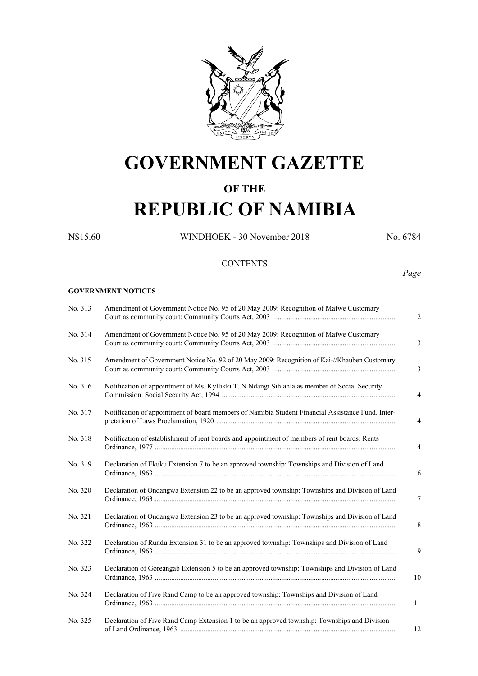

## **GOVERNMENT GAZETTE**

## **OF THE**

# **REPUBLIC OF NAMIBIA**

**GOVERNMENT NOTICES**

N\$15.60 WINDHOEK - 30 November 2018 No. 6784

### **CONTENTS**

*Page*

| No. 313 | Amendment of Government Notice No. 95 of 20 May 2009: Recognition of Mafwe Customary              | $\overline{2}$ |
|---------|---------------------------------------------------------------------------------------------------|----------------|
| No. 314 | Amendment of Government Notice No. 95 of 20 May 2009: Recognition of Mafwe Customary              | 3              |
| No. 315 | Amendment of Government Notice No. 92 of 20 May 2009: Recognition of Kai-//Khauben Customary      | 3              |
| No. 316 | Notification of appointment of Ms. Kyllikki T. N Ndangi Sihlahla as member of Social Security     | 4              |
| No. 317 | Notification of appointment of board members of Namibia Student Financial Assistance Fund. Inter- | 4              |
| No. 318 | Notification of establishment of rent boards and appointment of members of rent boards: Rents     | 4              |
| No. 319 | Declaration of Ekuku Extension 7 to be an approved township: Townships and Division of Land       | 6              |
| No. 320 | Declaration of Ondangwa Extension 22 to be an approved township: Townships and Division of Land   | 7              |
| No. 321 | Declaration of Ondangwa Extension 23 to be an approved township: Townships and Division of Land   | 8              |
| No. 322 | Declaration of Rundu Extension 31 to be an approved township: Townships and Division of Land      | 9              |
| No. 323 | Declaration of Goreangab Extension 5 to be an approved township: Townships and Division of Land   | 10             |
| No. 324 | Declaration of Five Rand Camp to be an approved township: Townships and Division of Land          | 11             |
| No. 325 | Declaration of Five Rand Camp Extension 1 to be an approved township: Townships and Division      | 12             |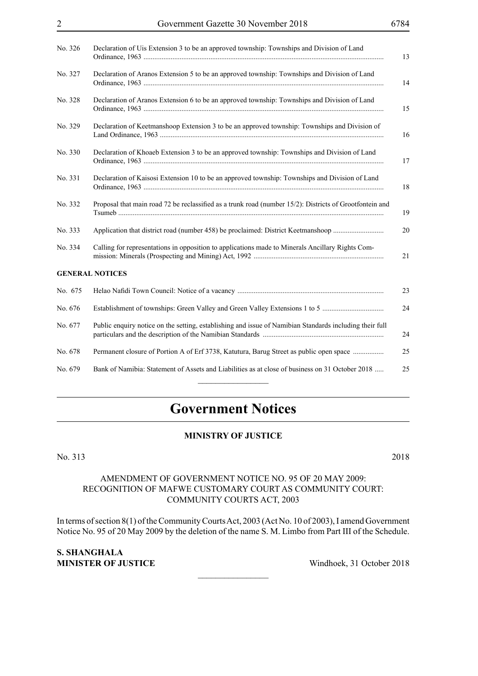| No. 326 | Declaration of Uis Extension 3 to be an approved township: Townships and Division of Land<br>13               |
|---------|---------------------------------------------------------------------------------------------------------------|
| No. 327 | Declaration of Aranos Extension 5 to be an approved township: Townships and Division of Land<br>14            |
| No. 328 | Declaration of Aranos Extension 6 to be an approved township: Townships and Division of Land<br>15            |
| No. 329 | Declaration of Keetmanshoop Extension 3 to be an approved township: Townships and Division of<br>16           |
| No. 330 | Declaration of Khoaeb Extension 3 to be an approved township: Townships and Division of Land<br>17            |
| No. 331 | Declaration of Kaisosi Extension 10 to be an approved township: Townships and Division of Land<br>18          |
| No. 332 | Proposal that main road 72 be reclassified as a trunk road (number 15/2): Districts of Grootfontein and<br>19 |
| No. 333 | Application that district road (number 458) be proclaimed: District Keetmanshoop<br>20                        |
| No. 334 | Calling for representations in opposition to applications made to Minerals Ancillary Rights Com-<br>21        |
|         | <b>GENERAL NOTICES</b>                                                                                        |
| No. 675 | 23                                                                                                            |
| No. 676 | 24                                                                                                            |
| No. 677 | Public enquiry notice on the setting, establishing and issue of Namibian Standards including their full<br>24 |
| No. 678 | Permanent closure of Portion A of Erf 3738, Katutura, Barug Street as public open space<br>25                 |
| No. 679 | Bank of Namibia: Statement of Assets and Liabilities as at close of business on 31 October 2018<br>25         |

## **Government Notices**

#### **MINISTRY OF JUSTICE**

No. 313 2018

#### AMENDMENT OF GOVERNMENT NOTICE NO. 95 OF 20 MAY 2009: RECOGNITION OF MAFWE CUSTOMARY COURT AS COMMUNITY COURT: COMMUNITY COURTS ACT, 2003

In terms of section 8(1) of the Community Courts Act, 2003 (Act No. 10 of 2003), I amend Government Notice No. 95 of 20 May 2009 by the deletion of the name S. M. Limbo from Part III of the Schedule.

 $\overline{\phantom{a}}$  , where  $\overline{\phantom{a}}$ 

**S. SHANGHALA MINISTER OF JUSTICE** Windhoek, 31 October 2018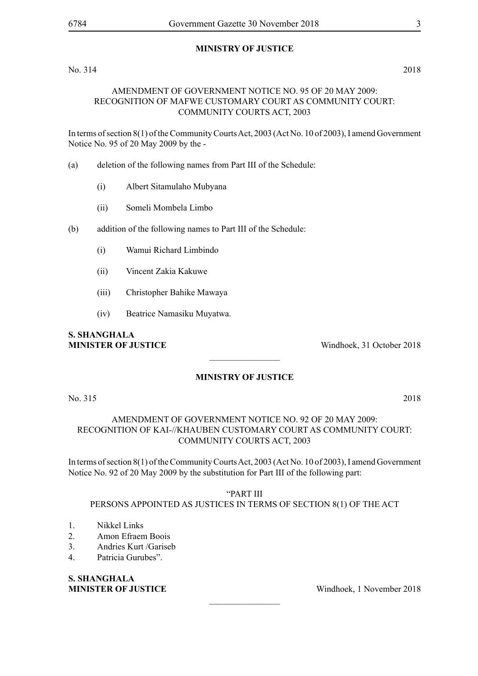#### **MINISTRY OF JUSTICE**

#### No. 314 2018

#### AMENDMENT OF GOVERNMENT NOTICE NO. 95 OF 20 MAY 2009: RECOGNITION OF MAFWE CUSTOMARY COURT AS COMMUNITY COURT: COMMUNITY COURTS ACT, 2003

In terms of section 8(1) of the Community Courts Act, 2003 (Act No. 10 of 2003), I amend Government Notice No. 95 of 20 May 2009 by the -

- (a) deletion of the following names from Part III of the Schedule:
	- (i) Albert Sitamulaho Mubyana
	- (ii) Someli Mombela Limbo
- (b) addition of the following names to Part III of the Schedule:
	- (i) Wamui Richard Limbindo
	- (ii) Vincent Zakia Kakuwe
	- (iii) Christopher Bahike Mawaya
	- (iv) Beatrice Namasiku Muyatwa.

# **S. SHANGHALA**

**MINISTER OF JUSTICE** Windhoek, 31 October 2018

### **MINISTRY OF JUSTICE**

 $\overline{\phantom{a}}$  , where  $\overline{\phantom{a}}$ 

No. 315 2018

### AMENDMENT OF GOVERNMENT NOTICE NO. 92 OF 20 MAY 2009: RECOGNITION OF KAI-//KHAUBEN CUSTOMARY COURT AS COMMUNITY COURT: COMMUNITY COURTS ACT, 2003

In terms of section 8(1) of the Community Courts Act, 2003 (Act No. 10 of 2003), I amend Government Notice No. 92 of 20 May 2009 by the substitution for Part III of the following part:

"PART III

#### PERSONS APPOINTED AS JUSTICES IN TERMS OF SECTION 8(1) OF THE ACT

 $\overline{\phantom{a}}$  , where  $\overline{\phantom{a}}$ 

- 1. Nikkel Links
- 2. Amon Efraem Boois
- 3. Andries Kurt /Gariseb
- 4. Patricia Gurubes".

**S. SHANGHALA**

**MINISTER OF JUSTICE** Windhoek, 1 November 2018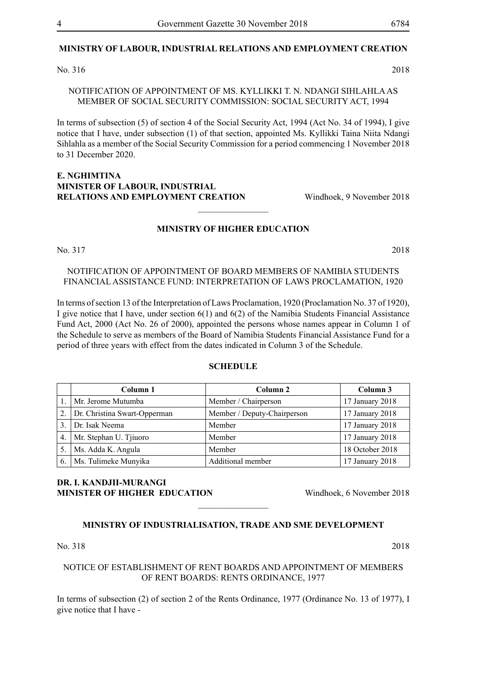#### **MINISTRY OF LABOUR, INDUSTRIAL RELATIONS AND EMPLOYMENT CREATION**

No. 316 2018

NOTIFICATION OF APPOINTMENT OF MS. KYLLIKKI T. N. NDANGI SIHLAHLA AS MEMBER OF SOCIAL SECURITY COMMISSION: SOCIAL SECURITY ACT, 1994

In terms of subsection (5) of section 4 of the Social Security Act, 1994 (Act No. 34 of 1994), I give notice that I have, under subsection (1) of that section, appointed Ms. Kyllikki Taina Niita Ndangi Sihlahla as a member of the Social Security Commission for a period commencing 1 November 2018 to 31 December 2020.

#### **e. nghimtina MINISTER OF LABOUR, INDUSTRIAL RELATIONS AND EMPLOYMENT CREATION** Windhoek, 9 November 2018

#### **MINISTRY OF HIGHER EDUCATION**

 $\overline{\phantom{a}}$  , where  $\overline{\phantom{a}}$ 

No. 317 2018

NOTIFICATION OF APPOINTMENT OF BOARD MEMBERS OF NAMIBIA STUDENTS FINANCIAL ASSISTANCE FUND: INTERPRETATION OF LAWS PROCLAMATION, 1920

In terms of section 13 of the Interpretation of Laws Proclamation, 1920 (Proclamation No. 37 of 1920), I give notice that I have, under section 6(1) and 6(2) of the Namibia Students Financial Assistance Fund Act, 2000 (Act No. 26 of 2000), appointed the persons whose names appear in Column 1 of the Schedule to serve as members of the Board of Namibia Students Financial Assistance Fund for a period of three years with effect from the dates indicated in Column 3 of the Schedule.

#### **SCHEDULE**

|                  | Column 1                     | Column <sub>2</sub>         | Column 3        |
|------------------|------------------------------|-----------------------------|-----------------|
|                  | Mr. Jerome Mutumba           | Member / Chairperson        | 17 January 2018 |
| $\overline{2}$ . | Dr. Christina Swart-Opperman | Member / Deputy-Chairperson | 17 January 2018 |
| 3.               | Dr. Isak Neema               | Member                      | 17 January 2018 |
| 4.               | Mr. Stephan U. Tjiuoro       | Member                      | 17 January 2018 |
| 5.               | Ms. Adda K. Angula           | Member                      | 18 October 2018 |
| 6.               | Ms. Tulimeke Munyika         | Additional member           | 17 January 2018 |

#### **DR. I. KANDJII-MURANGI MINISTER OF HIGHER EDUCATION** Windhoek, 6 November 2018

#### **MINISTRY OF INDUSTRIALISATION, TRADE AND SME DEVELOPMENT**

 $\overline{\phantom{a}}$  , where  $\overline{\phantom{a}}$ 

No. 318 2018

#### NOTICE OF ESTABLISHMENT OF RENT BOARDS AND APPOINTMENT OF MEMBERS OF RENT BOARDS: RENTS ORDINANCE, 1977

In terms of subsection (2) of section 2 of the Rents Ordinance, 1977 (Ordinance No. 13 of 1977), I give notice that I have -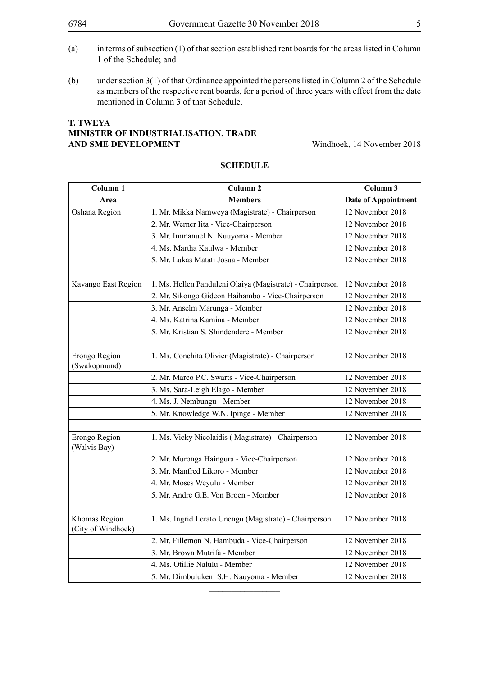- (a) in terms of subsection (1) of that section established rent boards for the areas listed in Column 1 of the Schedule; and
- (b) under section 3(1) of that Ordinance appointed the persons listed in Column 2 of the Schedule as members of the respective rent boards, for a period of three years with effect from the date mentioned in Column 3 of that Schedule.

#### **T. TWEYA Minister OF IndustrialiSation, Trade AND SME DEVELOPMENT** Windhoek, 14 November 2018

| Column 1                            | Column <sub>2</sub>                                       | Column 3         |
|-------------------------------------|-----------------------------------------------------------|------------------|
| Area                                | <b>Members</b>                                            |                  |
| Oshana Region                       | 1. Mr. Mikka Namweya (Magistrate) - Chairperson           | 12 November 2018 |
|                                     | 2. Mr. Werner Iita - Vice-Chairperson                     | 12 November 2018 |
|                                     | 3. Mr. Immanuel N. Nuuyoma - Member                       | 12 November 2018 |
|                                     | 4. Ms. Martha Kaulwa - Member                             | 12 November 2018 |
|                                     | 5. Mr. Lukas Matati Josua - Member                        | 12 November 2018 |
|                                     |                                                           |                  |
| Kavango East Region                 | 1. Ms. Hellen Panduleni Olaiya (Magistrate) - Chairperson | 12 November 2018 |
|                                     | 2. Mr. Sikongo Gideon Haihambo - Vice-Chairperson         | 12 November 2018 |
|                                     | 3. Mr. Anselm Marunga - Member                            | 12 November 2018 |
|                                     | 4. Ms. Katrina Kamina - Member                            | 12 November 2018 |
|                                     | 5. Mr. Kristian S. Shindendere - Member                   | 12 November 2018 |
|                                     |                                                           |                  |
| Erongo Region<br>(Swakopmund)       | 1. Ms. Conchita Olivier (Magistrate) - Chairperson        | 12 November 2018 |
|                                     | 2. Mr. Marco P.C. Swarts - Vice-Chairperson               | 12 November 2018 |
|                                     | 3. Ms. Sara-Leigh Elago - Member                          | 12 November 2018 |
|                                     | 4. Ms. J. Nembungu - Member                               | 12 November 2018 |
|                                     | 5. Mr. Knowledge W.N. Ipinge - Member                     | 12 November 2018 |
|                                     |                                                           |                  |
| Erongo Region<br>(Walvis Bay)       | 1. Ms. Vicky Nicolaidis (Magistrate) - Chairperson        | 12 November 2018 |
|                                     | 2. Mr. Muronga Haingura - Vice-Chairperson                | 12 November 2018 |
|                                     | 3. Mr. Manfred Likoro - Member                            | 12 November 2018 |
|                                     | 4. Mr. Moses Weyulu - Member                              | 12 November 2018 |
|                                     | 5. Mr. Andre G.E. Von Broen - Member                      | 12 November 2018 |
|                                     |                                                           |                  |
| Khomas Region<br>(City of Windhoek) | 1. Ms. Ingrid Lerato Unengu (Magistrate) - Chairperson    | 12 November 2018 |
|                                     | 2. Mr. Fillemon N. Hambuda - Vice-Chairperson             | 12 November 2018 |
|                                     | 3. Mr. Brown Mutrifa - Member                             | 12 November 2018 |
|                                     | 4. Ms. Otillie Nalulu - Member                            | 12 November 2018 |
|                                     | 5. Mr. Dimbulukeni S.H. Nauyoma - Member                  | 12 November 2018 |

 $\frac{1}{2}$ 

#### **SCHEDULE**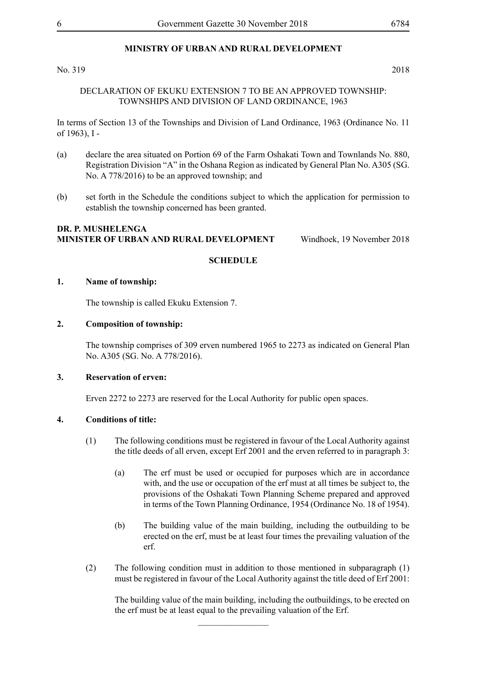No. 319 2018

#### DECLARATION OF EKUKU EXTENSION 7 TO BE AN APPROVED TOWNSHIP: TOWNSHIPS AND DIVISION OF LAND ORDINANCE, 1963

In terms of Section 13 of the Townships and Division of Land Ordinance, 1963 (Ordinance No. 11 of 1963), I -

- (a) declare the area situated on Portion 69 of the Farm Oshakati Town and Townlands No. 880, Registration Division "A" in the Oshana Region as indicated by General Plan No. A305 (SG. No. A 778/2016) to be an approved township; and
- (b) set forth in the Schedule the conditions subject to which the application for permission to establish the township concerned has been granted.

#### **DR. P. MUSHELENGA MINISTER OF URBAN AND RURAL DEVELOPMENT** Windhoek, 19 November 2018

#### **SCHEDULE**

#### **1. Name of township:**

The township is called Ekuku Extension 7.

#### **2. Composition of township:**

The township comprises of 309 erven numbered 1965 to 2273 as indicated on General Plan No. A305 (SG. No. A 778/2016).

#### **3. Reservation of erven:**

Erven 2272 to 2273 are reserved for the Local Authority for public open spaces.

#### **4. Conditions of title:**

- (1) The following conditions must be registered in favour of the Local Authority against the title deeds of all erven, except Erf 2001 and the erven referred to in paragraph 3:
	- (a) The erf must be used or occupied for purposes which are in accordance with, and the use or occupation of the erf must at all times be subject to, the provisions of the Oshakati Town Planning Scheme prepared and approved in terms of the Town Planning Ordinance, 1954 (Ordinance No. 18 of 1954).
	- (b) The building value of the main building, including the outbuilding to be erected on the erf, must be at least four times the prevailing valuation of the erf.
- (2) The following condition must in addition to those mentioned in subparagraph (1) must be registered in favour of the Local Authority against the title deed of Erf 2001:

 $\frac{1}{2}$ 

The building value of the main building, including the outbuildings, to be erected on the erf must be at least equal to the prevailing valuation of the Erf.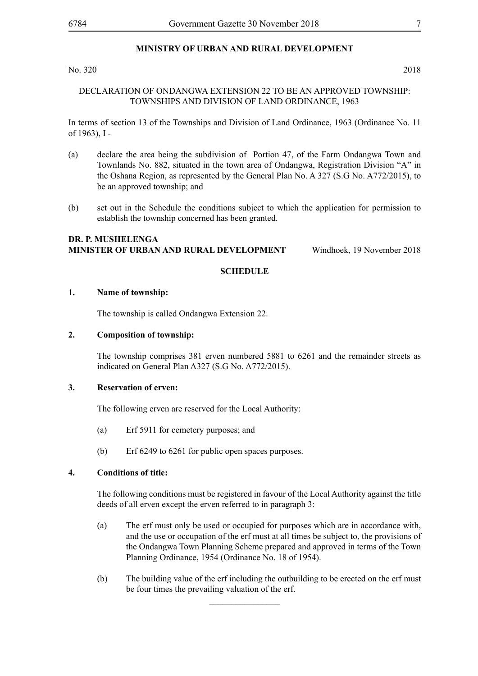No. 320 2018

#### DECLARATION OF ONDANGWA EXTENSION 22 TO BE AN APPROVED TOWNSHIP: TOWNSHIPS AND DIVISION OF LAND ORDINANCE, 1963

In terms of section 13 of the Townships and Division of Land Ordinance, 1963 (Ordinance No. 11 of 1963), I -

- (a) declare the area being the subdivision of Portion 47, of the Farm Ondangwa Town and Townlands No. 882, situated in the town area of Ondangwa, Registration Division "A" in the Oshana Region, as represented by the General Plan No. A 327 (S.G No. A772/2015), to be an approved township; and
- (b) set out in the Schedule the conditions subject to which the application for permission to establish the township concerned has been granted.

#### **DR. P. MUSHELENGA MINISTER OF URBAN AND RURAL DEVELOPMENT** Windhoek, 19 November 2018

#### **SCHEDULE**

#### **1. Name of township:**

The township is called Ondangwa Extension 22.

#### **2. Composition of township:**

The township comprises 381 erven numbered 5881 to 6261 and the remainder streets as indicated on General Plan A327 (S.G No. A772/2015).

#### **3. Reservation of erven:**

The following erven are reserved for the Local Authority:

- (a) Erf 5911 for cemetery purposes; and
- (b) Erf 6249 to 6261 for public open spaces purposes.

#### **4. Conditions of title:**

The following conditions must be registered in favour of the Local Authority against the title deeds of all erven except the erven referred to in paragraph 3:

- (a) The erf must only be used or occupied for purposes which are in accordance with, and the use or occupation of the erf must at all times be subject to, the provisions of the Ondangwa Town Planning Scheme prepared and approved in terms of the Town Planning Ordinance, 1954 (Ordinance No. 18 of 1954).
- (b) The building value of the erf including the outbuilding to be erected on the erf must be four times the prevailing valuation of the erf.

 $\overline{\phantom{a}}$  , where  $\overline{\phantom{a}}$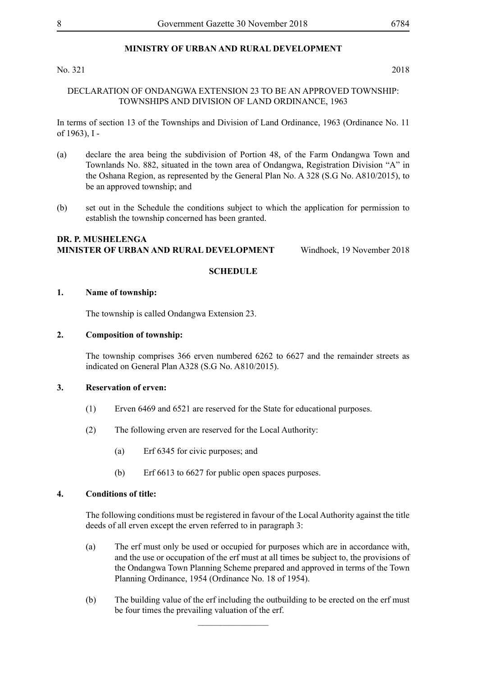No. 321 2018

DECLARATION OF ONDANGWA EXTENSION 23 TO BE AN APPROVED TOWNSHIP: TOWNSHIPS AND DIVISION OF LAND ORDINANCE, 1963

In terms of section 13 of the Townships and Division of Land Ordinance, 1963 (Ordinance No. 11 of 1963), I -

- (a) declare the area being the subdivision of Portion 48, of the Farm Ondangwa Town and Townlands No. 882, situated in the town area of Ondangwa, Registration Division "A" in the Oshana Region, as represented by the General Plan No. A 328 (S.G No. A810/2015), to be an approved township; and
- (b) set out in the Schedule the conditions subject to which the application for permission to establish the township concerned has been granted.

#### **DR. P. MUSHELENGA MINISTER OF URBAN AND RURAL DEVELOPMENT** Windhoek, 19 November 2018

#### **SCHEDULE**

#### **1. Name of township:**

The township is called Ondangwa Extension 23.

#### **2. Composition of township:**

The township comprises 366 erven numbered 6262 to 6627 and the remainder streets as indicated on General Plan A328 (S.G No. A810/2015).

#### **3. Reservation of erven:**

- (1) Erven 6469 and 6521 are reserved for the State for educational purposes.
- (2) The following erven are reserved for the Local Authority:
	- (a) Erf 6345 for civic purposes; and
	- (b) Erf 6613 to 6627 for public open spaces purposes.

#### **4. Conditions of title:**

The following conditions must be registered in favour of the Local Authority against the title deeds of all erven except the erven referred to in paragraph 3:

- (a) The erf must only be used or occupied for purposes which are in accordance with, and the use or occupation of the erf must at all times be subject to, the provisions of the Ondangwa Town Planning Scheme prepared and approved in terms of the Town Planning Ordinance, 1954 (Ordinance No. 18 of 1954).
- (b) The building value of the erf including the outbuilding to be erected on the erf must be four times the prevailing valuation of the erf.

 $\frac{1}{2}$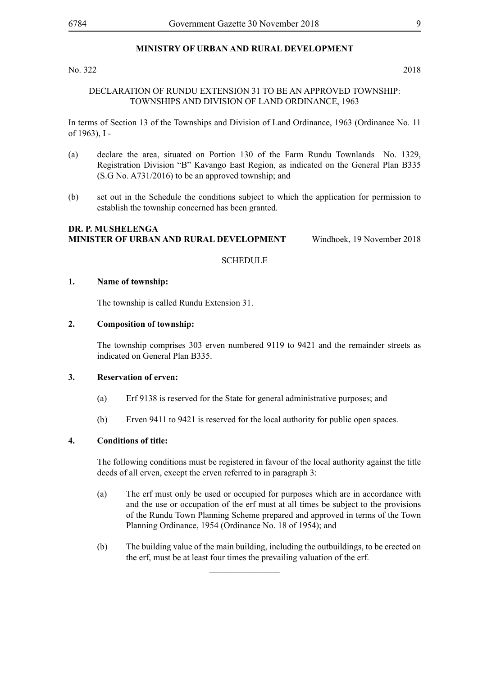#### No. 322 2018

#### DECLARATION OF RUNDU EXTENSION 31 TO BE AN APPROVED TOWNSHIP: TOWNSHIPS AND DIVISION OF LAND ORDINANCE, 1963

In terms of Section 13 of the Townships and Division of Land Ordinance, 1963 (Ordinance No. 11 of 1963), I -

- (a) declare the area, situated on Portion 130 of the Farm Rundu Townlands No. 1329, Registration Division "B" Kavango East Region, as indicated on the General Plan B335 (S.G No. A731/2016) to be an approved township; and
- (b) set out in the Schedule the conditions subject to which the application for permission to establish the township concerned has been granted.

#### **DR. P. MUSHELENGA MINISTER OF URBAN AND RURAL DEVELOPMENT** Windhoek, 19 November 2018

#### **SCHEDULE**

#### **1. Name of township:**

The township is called Rundu Extension 31.

#### **2. Composition of township:**

The township comprises 303 erven numbered 9119 to 9421 and the remainder streets as indicated on General Plan B335.

#### **3. Reservation of erven:**

- (a) Erf 9138 is reserved for the State for general administrative purposes; and
- (b) Erven 9411 to 9421 is reserved for the local authority for public open spaces.

#### **4. Conditions of title:**

The following conditions must be registered in favour of the local authority against the title deeds of all erven, except the erven referred to in paragraph 3:

- (a) The erf must only be used or occupied for purposes which are in accordance with and the use or occupation of the erf must at all times be subject to the provisions of the Rundu Town Planning Scheme prepared and approved in terms of the Town Planning Ordinance, 1954 (Ordinance No. 18 of 1954); and
- (b) The building value of the main building, including the outbuildings, to be erected on the erf, must be at least four times the prevailing valuation of the erf.

 $\frac{1}{2}$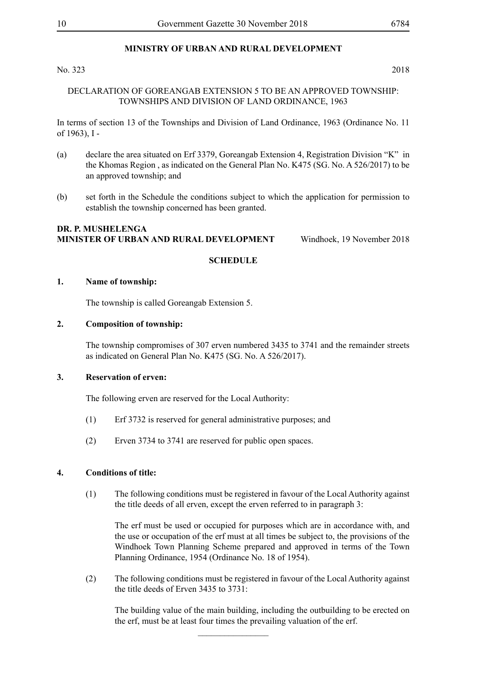No. 323 2018

#### DECLARATION OF GOREANGAB EXTENSION 5 TO BE AN APPROVED TOWNSHIP: TOWNSHIPS AND DIVISION OF LAND ORDINANCE, 1963

In terms of section 13 of the Townships and Division of Land Ordinance, 1963 (Ordinance No. 11 of 1963), I -

- (a) declare the area situated on Erf 3379, Goreangab Extension 4, Registration Division "K" in the Khomas Region , as indicated on the General Plan No. K475 (SG. No. A 526/2017) to be an approved township; and
- (b) set forth in the Schedule the conditions subject to which the application for permission to establish the township concerned has been granted.

#### **DR. P. MUSHELENGA MINISTER OF URBAN AND RURAL DEVELOPMENT** Windhoek, 19 November 2018

#### **SCHEDULE**

#### **1. Name of township:**

The township is called Goreangab Extension 5.

#### **2. Composition of township:**

The township compromises of 307 erven numbered 3435 to 3741 and the remainder streets as indicated on General Plan No. K475 (SG. No. A 526/2017).

#### **3. Reservation of erven:**

The following erven are reserved for the Local Authority:

- (1) Erf 3732 is reserved for general administrative purposes; and
- (2) Erven 3734 to 3741 are reserved for public open spaces.

#### **4. Conditions of title:**

(1) The following conditions must be registered in favour of the Local Authority against the title deeds of all erven, except the erven referred to in paragraph 3:

The erf must be used or occupied for purposes which are in accordance with, and the use or occupation of the erf must at all times be subject to, the provisions of the Windhoek Town Planning Scheme prepared and approved in terms of the Town Planning Ordinance, 1954 (Ordinance No. 18 of 1954).

(2) The following conditions must be registered in favour of the Local Authority against the title deeds of Erven 3435 to 3731:

 $\frac{1}{2}$ 

The building value of the main building, including the outbuilding to be erected on the erf, must be at least four times the prevailing valuation of the erf.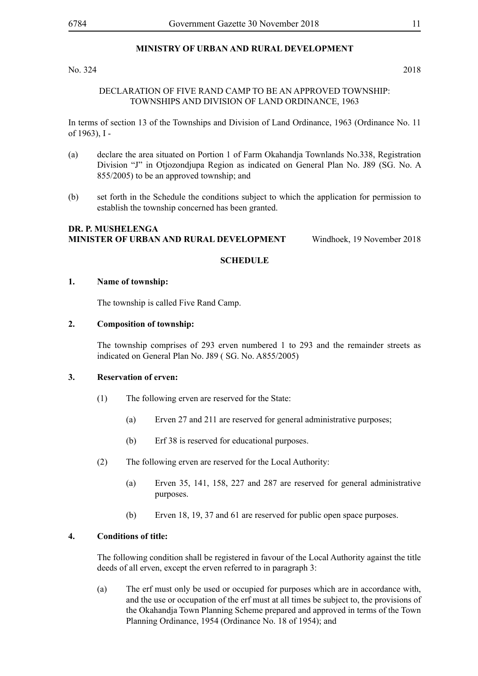#### No. 324 2018

#### DECLARATION OF FIVE RAND CAMP TO BE AN APPROVED TOWNSHIP: TOWNSHIPS AND DIVISION OF LAND ORDINANCE, 1963

In terms of section 13 of the Townships and Division of Land Ordinance, 1963 (Ordinance No. 11 of 1963), I -

- (a) declare the area situated on Portion 1 of Farm Okahandja Townlands No.338, Registration Division "J" in Otjozondjupa Region as indicated on General Plan No. J89 (SG. No. A 855/2005) to be an approved township; and
- (b) set forth in the Schedule the conditions subject to which the application for permission to establish the township concerned has been granted.

#### **DR. P. MUSHELENGA MINISTER OF URBAN AND RURAL DEVELOPMENT** Windhoek, 19 November 2018

#### **SCHEDULE**

#### **1. Name of township:**

The township is called Five Rand Camp.

#### **2. Composition of township:**

The township comprises of 293 erven numbered 1 to 293 and the remainder streets as indicated on General Plan No. J89 ( SG. No. A855/2005)

#### **3. Reservation of erven:**

- (1) The following erven are reserved for the State:
	- (a) Erven 27 and 211 are reserved for general administrative purposes;
	- (b) Erf 38 is reserved for educational purposes.
- (2) The following erven are reserved for the Local Authority:
	- (a) Erven 35, 141, 158, 227 and 287 are reserved for general administrative purposes.
	- (b) Erven 18, 19, 37 and 61 are reserved for public open space purposes.

#### **4. Conditions of title:**

The following condition shall be registered in favour of the Local Authority against the title deeds of all erven, except the erven referred to in paragraph 3:

(a) The erf must only be used or occupied for purposes which are in accordance with, and the use or occupation of the erf must at all times be subject to, the provisions of the Okahandja Town Planning Scheme prepared and approved in terms of the Town Planning Ordinance, 1954 (Ordinance No. 18 of 1954); and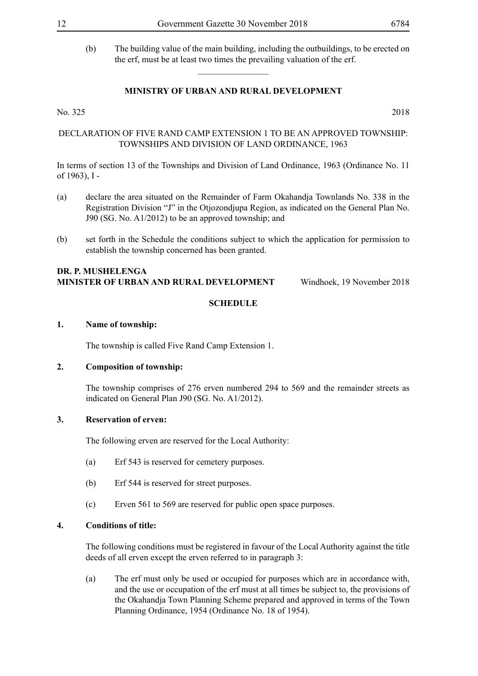(b) The building value of the main building, including the outbuildings, to be erected on the erf, must be at least two times the prevailing valuation of the erf.

#### **MINISTRY OF URBAN AND RURAL DEVELOPMENT**

 $\overline{\phantom{a}}$  , where  $\overline{\phantom{a}}$ 

No. 325 2018

DECLARATION OF FIVE RAND CAMP EXTENSION 1 TO BE AN APPROVED TOWNSHIP: TOWNSHIPS AND DIVISION OF LAND ORDINANCE, 1963

In terms of section 13 of the Townships and Division of Land Ordinance, 1963 (Ordinance No. 11 of 1963), I -

- (a) declare the area situated on the Remainder of Farm Okahandja Townlands No. 338 in the Registration Division "J" in the Otjozondjupa Region, as indicated on the General Plan No. J90 (SG. No. A1/2012) to be an approved township; and
- (b) set forth in the Schedule the conditions subject to which the application for permission to establish the township concerned has been granted.

#### **DR. P. MUSHELENGA MINISTER OF URBAN AND RURAL DEVELOPMENT** Windhoek, 19 November 2018

#### **SCHEDULE**

#### **1. Name of township:**

The township is called Five Rand Camp Extension 1.

#### **2. Composition of township:**

The township comprises of 276 erven numbered 294 to 569 and the remainder streets as indicated on General Plan J90 (SG. No. A1/2012).

#### **3. Reservation of erven:**

The following erven are reserved for the Local Authority:

- (a) Erf 543 is reserved for cemetery purposes.
- (b) Erf 544 is reserved for street purposes.
- (c) Erven 561 to 569 are reserved for public open space purposes.

#### **4. Conditions of title:**

The following conditions must be registered in favour of the Local Authority against the title deeds of all erven except the erven referred to in paragraph 3:

(a) The erf must only be used or occupied for purposes which are in accordance with, and the use or occupation of the erf must at all times be subject to, the provisions of the Okahandja Town Planning Scheme prepared and approved in terms of the Town Planning Ordinance, 1954 (Ordinance No. 18 of 1954).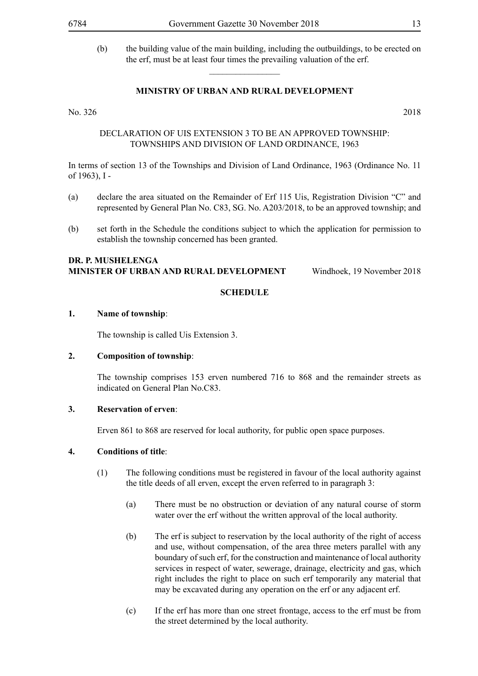(b) the building value of the main building, including the outbuildings, to be erected on the erf, must be at least four times the prevailing valuation of the erf.

#### **MINISTRY OF URBAN AND RURAL DEVELOPMENT**

 $\overline{\phantom{a}}$  , where  $\overline{\phantom{a}}$ 

No. 326 2018

#### DECLARATION OF UIS EXTENSION 3 TO BE AN APPROVED TOWNSHIP: TOWNSHIPS AND DIVISION OF LAND ORDINANCE, 1963

In terms of section 13 of the Townships and Division of Land Ordinance, 1963 (Ordinance No. 11 of 1963), I -

- (a) declare the area situated on the Remainder of Erf 115 Uis, Registration Division "C" and represented by General Plan No. C83, SG. No. A203/2018, to be an approved township; and
- (b) set forth in the Schedule the conditions subject to which the application for permission to establish the township concerned has been granted.

#### **DR. P. MUSHELENGA MINISTER OF URBAN AND RURAL DEVELOPMENT** Windhoek, 19 November 2018

#### **SCHEDULE**

#### **1. Name of township**:

The township is called Uis Extension 3.

#### **2. Composition of township**:

The township comprises 153 erven numbered 716 to 868 and the remainder streets as indicated on General Plan No.C83.

#### **3. Reservation of erven**:

Erven 861 to 868 are reserved for local authority, for public open space purposes.

#### **4. Conditions of title**:

- (1) The following conditions must be registered in favour of the local authority against the title deeds of all erven, except the erven referred to in paragraph 3:
	- (a) There must be no obstruction or deviation of any natural course of storm water over the erf without the written approval of the local authority.
	- (b) The erf is subject to reservation by the local authority of the right of access and use, without compensation, of the area three meters parallel with any boundary of such erf, for the construction and maintenance of local authority services in respect of water, sewerage, drainage, electricity and gas, which right includes the right to place on such erf temporarily any material that may be excavated during any operation on the erf or any adjacent erf.
	- (c) If the erf has more than one street frontage, access to the erf must be from the street determined by the local authority.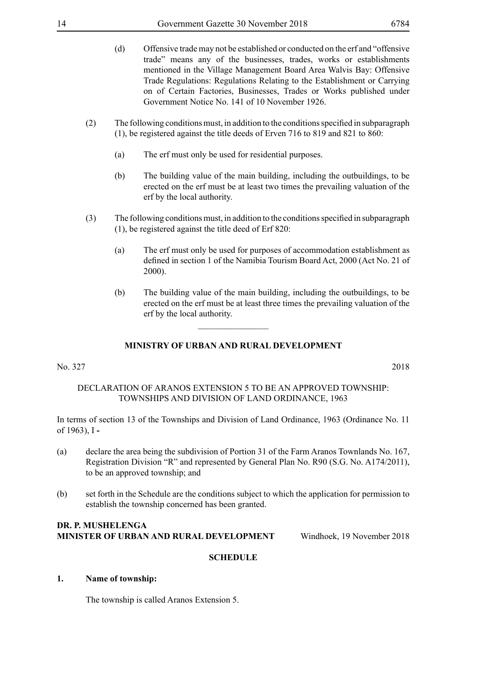- (d) Offensive trade may not be established or conducted on the erf and "offensive trade" means any of the businesses, trades, works or establishments mentioned in the Village Management Board Area Walvis Bay: Offensive Trade Regulations: Regulations Relating to the Establishment or Carrying on of Certain Factories, Businesses, Trades or Works published under Government Notice No. 141 of 10 November 1926.
- (2) The following conditions must, in addition to the conditions specified in subparagraph (1), be registered against the title deeds of Erven 716 to 819 and 821 to 860:
	- (a) The erf must only be used for residential purposes.
	- (b) The building value of the main building, including the outbuildings, to be erected on the erf must be at least two times the prevailing valuation of the erf by the local authority.
- (3) The following conditions must, in addition to the conditions specified in subparagraph (1), be registered against the title deed of Erf 820:
	- (a) The erf must only be used for purposes of accommodation establishment as defined in section 1 of the Namibia Tourism Board Act, 2000 (Act No. 21 of 2000).
	- (b) The building value of the main building, including the outbuildings, to be erected on the erf must be at least three times the prevailing valuation of the erf by the local authority.

 $\overline{\phantom{a}}$  , where  $\overline{\phantom{a}}$ 

No. 327 2018

#### DECLARATION OF ARANOS EXTENSION 5 TO BE AN APPROVED TOWNSHIP: TOWNSHIPS AND DIVISION OF LAND ORDINANCE, 1963

In terms of section 13 of the Townships and Division of Land Ordinance, 1963 (Ordinance No. 11 of 1963), I **-**

- (a) declare the area being the subdivision of Portion 31 of the Farm Aranos Townlands No. 167, Registration Division "R" and represented by General Plan No. R90 (S.G. No. A174/2011), to be an approved township; and
- (b) set forth in the Schedule are the conditions subject to which the application for permission to establish the township concerned has been granted.

#### **DR. P. MUSHELENGA MINISTER OF URBAN AND RURAL DEVELOPMENT** Windhoek, 19 November 2018

#### **SCHEDULE**

#### **1. Name of township:**

The township is called Aranos Extension 5.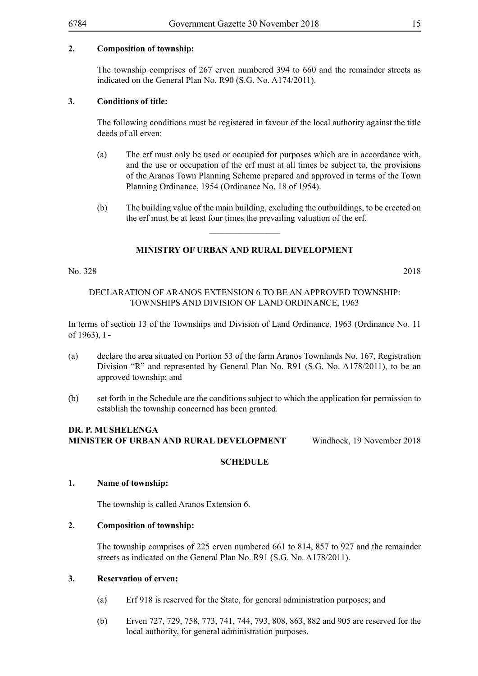#### **2. Composition of township:**

The township comprises of 267 erven numbered 394 to 660 and the remainder streets as indicated on the General Plan No. R90 (S.G. No. A174/2011).

#### **3. Conditions of title:**

The following conditions must be registered in favour of the local authority against the title deeds of all erven:

- (a) The erf must only be used or occupied for purposes which are in accordance with, and the use or occupation of the erf must at all times be subject to, the provisions of the Aranos Town Planning Scheme prepared and approved in terms of the Town Planning Ordinance, 1954 (Ordinance No. 18 of 1954).
- (b) The building value of the main building, excluding the outbuildings, to be erected on the erf must be at least four times the prevailing valuation of the erf.

### **MINISTRY OF URBAN AND RURAL DEVELOPMENT**

 $\frac{1}{2}$ 

No. 328 2018

#### DECLARATION OF ARANOS EXTENSION 6 TO BE AN APPROVED TOWNSHIP: TOWNSHIPS AND DIVISION OF LAND ORDINANCE, 1963

In terms of section 13 of the Townships and Division of Land Ordinance, 1963 (Ordinance No. 11 of 1963), I **-**

- (a) declare the area situated on Portion 53 of the farm Aranos Townlands No. 167, Registration Division "R" and represented by General Plan No. R91 (S.G. No. A178/2011), to be an approved township; and
- (b) set forth in the Schedule are the conditions subject to which the application for permission to establish the township concerned has been granted.

#### **DR. P. MUSHELENGA MINISTER OF URBAN AND RURAL DEVELOPMENT** Windhoek, 19 November 2018

#### **SCHEDULE**

#### **1. Name of township:**

The township is called Aranos Extension 6.

#### **2. Composition of township:**

The township comprises of 225 erven numbered 661 to 814, 857 to 927 and the remainder streets as indicated on the General Plan No. R91 (S.G. No. A178/2011).

#### **3. Reservation of erven:**

- (a) Erf 918 is reserved for the State, for general administration purposes; and
- (b) Erven 727, 729, 758, 773, 741, 744, 793, 808, 863, 882 and 905 are reserved for the local authority, for general administration purposes.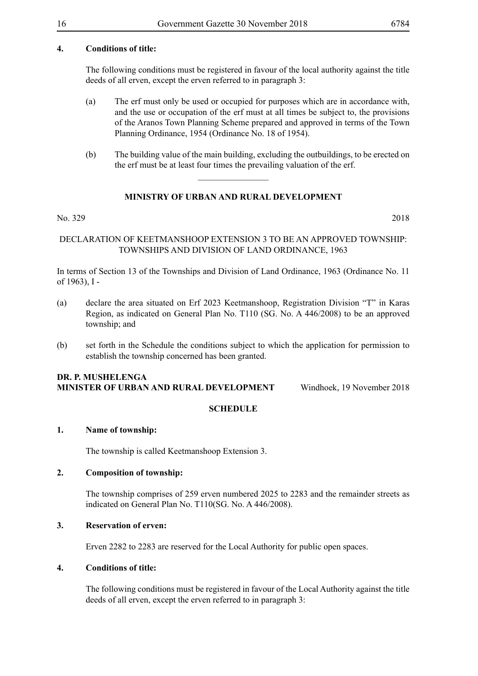#### **4. Conditions of title:**

The following conditions must be registered in favour of the local authority against the title deeds of all erven, except the erven referred to in paragraph 3:

- (a) The erf must only be used or occupied for purposes which are in accordance with, and the use or occupation of the erf must at all times be subject to, the provisions of the Aranos Town Planning Scheme prepared and approved in terms of the Town Planning Ordinance, 1954 (Ordinance No. 18 of 1954).
- (b) The building value of the main building, excluding the outbuildings, to be erected on the erf must be at least four times the prevailing valuation of the erf.

#### **MINISTRY OF URBAN AND RURAL DEVELOPMENT**

 $\frac{1}{2}$ 

#### No. 329 2018

#### DECLARATION OF KEETMANSHOOP EXTENSION 3 TO BE AN APPROVED TOWNSHIP: TOWNSHIPS AND DIVISION OF LAND ORDINANCE, 1963

In terms of Section 13 of the Townships and Division of Land Ordinance, 1963 (Ordinance No. 11 of 1963), I -

- (a) declare the area situated on Erf 2023 Keetmanshoop, Registration Division "T" in Karas Region, as indicated on General Plan No. T110 (SG. No. A 446/2008) to be an approved township; and
- (b) set forth in the Schedule the conditions subject to which the application for permission to establish the township concerned has been granted.

#### **DR. P. MUSHELENGA MINISTER OF URBAN AND RURAL DEVELOPMENT** Windhoek, 19 November 2018

#### **SCHEDULE**

#### **1. Name of township:**

The township is called Keetmanshoop Extension 3.

#### **2. Composition of township:**

The township comprises of 259 erven numbered 2025 to 2283 and the remainder streets as indicated on General Plan No. T110(SG. No. A 446/2008).

#### **3. Reservation of erven:**

Erven 2282 to 2283 are reserved for the Local Authority for public open spaces.

#### **4. Conditions of title:**

The following conditions must be registered in favour of the Local Authority against the title deeds of all erven, except the erven referred to in paragraph 3: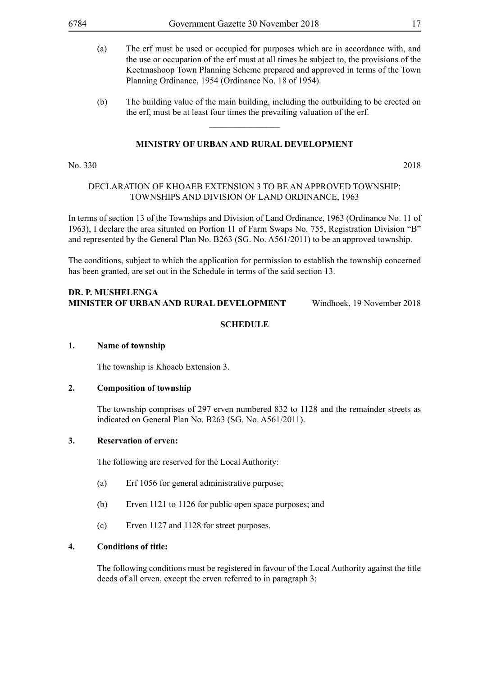- (a) The erf must be used or occupied for purposes which are in accordance with, and the use or occupation of the erf must at all times be subject to, the provisions of the Keetmashoop Town Planning Scheme prepared and approved in terms of the Town Planning Ordinance, 1954 (Ordinance No. 18 of 1954).
- (b) The building value of the main building, including the outbuilding to be erected on the erf, must be at least four times the prevailing valuation of the erf.

 $\overline{\phantom{a}}$  , where  $\overline{\phantom{a}}$ 

#### No. 330 2018

#### DECLARATION OF KHOAEB EXTENSION 3 TO BE AN APPROVED TOWNSHIP: TOWNSHIPS AND DIVISION OF LAND ORDINANCE, 1963

In terms of section 13 of the Townships and Division of Land Ordinance, 1963 (Ordinance No. 11 of 1963), I declare the area situated on Portion 11 of Farm Swaps No. 755, Registration Division "B" and represented by the General Plan No. B263 (SG. No. A561/2011) to be an approved township.

The conditions, subject to which the application for permission to establish the township concerned has been granted, are set out in the Schedule in terms of the said section 13.

#### **DR. P. MUSHELENGA MINISTER OF URBAN AND RURAL DEVELOPMENT** Windhoek, 19 November 2018

#### **SCHEDULE**

#### **1. Name of township**

The township is Khoaeb Extension 3.

#### **2. Composition of township**

The township comprises of 297 erven numbered 832 to 1128 and the remainder streets as indicated on General Plan No. B263 (SG. No. A561/2011).

#### **3. Reservation of erven:**

The following are reserved for the Local Authority:

- (a) Erf 1056 for general administrative purpose;
- (b) Erven 1121 to 1126 for public open space purposes; and
- (c) Erven 1127 and 1128 for street purposes.

#### **4. Conditions of title:**

The following conditions must be registered in favour of the Local Authority against the title deeds of all erven, except the erven referred to in paragraph 3: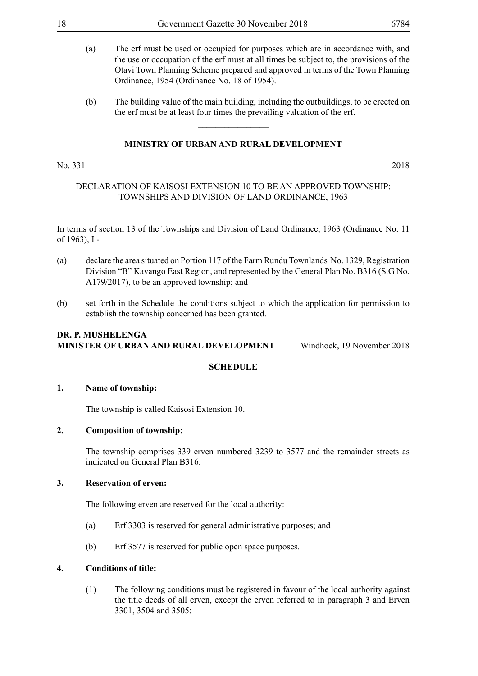- (a) The erf must be used or occupied for purposes which are in accordance with, and the use or occupation of the erf must at all times be subject to, the provisions of the Otavi Town Planning Scheme prepared and approved in terms of the Town Planning Ordinance, 1954 (Ordinance No. 18 of 1954).
- (b) The building value of the main building, including the outbuildings, to be erected on the erf must be at least four times the prevailing valuation of the erf.

 $\overline{\phantom{a}}$  , where  $\overline{\phantom{a}}$ 

#### No. 331 2018

#### DECLARATION OF KAISOSI EXTENSION 10 TO BE AN APPROVED TOWNSHIP: TOWNSHIPS AND DIVISION OF LAND ORDINANCE, 1963

In terms of section 13 of the Townships and Division of Land Ordinance, 1963 (Ordinance No. 11 of 1963), I -

- (a) declare the area situated on Portion 117 of the Farm Rundu Townlands No. 1329, Registration Division "B" Kavango East Region, and represented by the General Plan No. B316 (S.G No. A179/2017), to be an approved township; and
- (b) set forth in the Schedule the conditions subject to which the application for permission to establish the township concerned has been granted.

### **DR. P. MUSHELENGA MINISTER OF URBAN AND RURAL DEVELOPMENT** Windhoek, 19 November 2018

#### **SCHEDULE**

#### **1. Name of township:**

The township is called Kaisosi Extension 10.

#### **2. Composition of township:**

The township comprises 339 erven numbered 3239 to 3577 and the remainder streets as indicated on General Plan B316.

#### **3. Reservation of erven:**

The following erven are reserved for the local authority:

- (a) Erf 3303 is reserved for general administrative purposes; and
- (b) Erf 3577 is reserved for public open space purposes.

#### **4. Conditions of title:**

(1) The following conditions must be registered in favour of the local authority against the title deeds of all erven, except the erven referred to in paragraph 3 and Erven 3301, 3504 and 3505: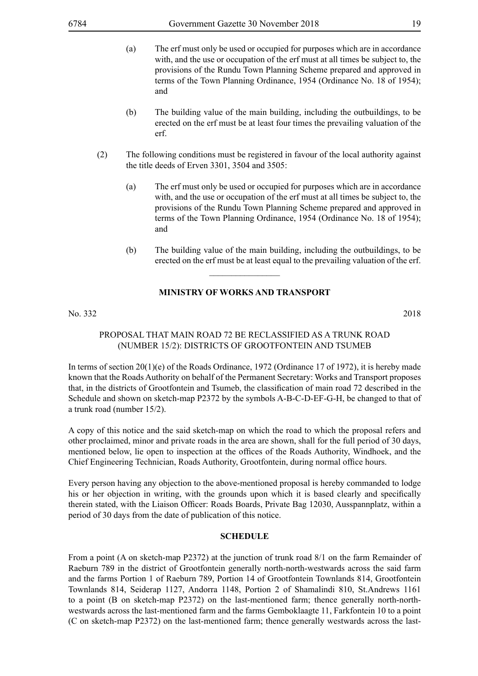- (a) The erf must only be used or occupied for purposes which are in accordance with, and the use or occupation of the erf must at all times be subject to, the provisions of the Rundu Town Planning Scheme prepared and approved in terms of the Town Planning Ordinance, 1954 (Ordinance No. 18 of 1954); and
- (b) The building value of the main building, including the outbuildings, to be erected on the erf must be at least four times the prevailing valuation of the erf.
- (2) The following conditions must be registered in favour of the local authority against the title deeds of Erven 3301, 3504 and 3505:
	- (a) The erf must only be used or occupied for purposes which are in accordance with, and the use or occupation of the erf must at all times be subject to, the provisions of the Rundu Town Planning Scheme prepared and approved in terms of the Town Planning Ordinance, 1954 (Ordinance No. 18 of 1954); and
	- (b) The building value of the main building, including the outbuildings, to be erected on the erf must be at least equal to the prevailing valuation of the erf.

#### **MINISTRY OF WORKS AND TRANSPORT**

 $\overline{\phantom{a}}$  , where  $\overline{\phantom{a}}$ 

No. 332 2018

#### PROPOSAL THAT MAIN ROAD 72 BE RECLASSIFIED AS A TRUNK ROAD (NUMBER 15/2): DISTRICTS OF GROOTFONTEIN AND TSUMEB

In terms of section 20(1)(e) of the Roads Ordinance, 1972 (Ordinance 17 of 1972), it is hereby made known that the Roads Authority on behalf of the Permanent Secretary: Works and Transport proposes that, in the districts of Grootfontein and Tsumeb, the classification of main road 72 described in the Schedule and shown on sketch-map P2372 by the symbols A-B-C-D-EF-G-H, be changed to that of a trunk road (number 15/2).

A copy of this notice and the said sketch-map on which the road to which the proposal refers and other proclaimed, minor and private roads in the area are shown, shall for the full period of 30 days, mentioned below, lie open to inspection at the offices of the Roads Authority, Windhoek, and the Chief Engineering Technician, Roads Authority, Grootfontein, during normal office hours.

Every person having any objection to the above-mentioned proposal is hereby commanded to lodge his or her objection in writing, with the grounds upon which it is based clearly and specifically therein stated, with the Liaison Officer: Roads Boards, Private Bag 12030, Ausspannplatz, within a period of 30 days from the date of publication of this notice.

#### **SCHEDULE**

From a point (A on sketch-map P2372) at the junction of trunk road 8/1 on the farm Remainder of Raeburn 789 in the district of Grootfontein generally north-north-westwards across the said farm and the farms Portion 1 of Raeburn 789, Portion 14 of Grootfontein Townlands 814, Grootfontein Townlands 814, Seiderap 1127, Andorra 1148, Portion 2 of Shamalindi 810, St.Andrews 1161 to a point (B on sketch-map P2372) on the last-mentioned farm; thence generally north-northwestwards across the last-mentioned farm and the farms Gemboklaagte 11, Farkfontein 10 to a point (C on sketch-map P2372) on the last-mentioned farm; thence generally westwards across the last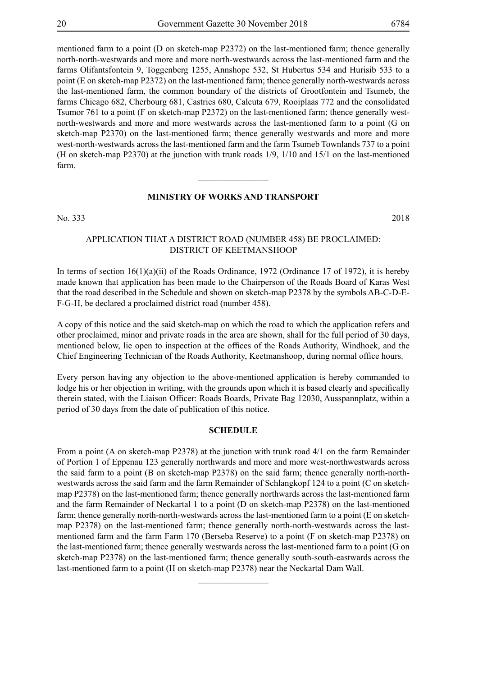mentioned farm to a point (D on sketch-map P2372) on the last-mentioned farm; thence generally north-north-westwards and more and more north-westwards across the last-mentioned farm and the farms Olifantsfontein 9, Toggenberg 1255, Annshope 532, St Hubertus 534 and Hurisib 533 to a point (E on sketch-map P2372) on the last-mentioned farm; thence generally north-westwards across the last-mentioned farm, the common boundary of the districts of Grootfontein and Tsumeb, the farms Chicago 682, Cherbourg 681, Castries 680, Calcuta 679, Rooiplaas 772 and the consolidated Tsumor 761 to a point (F on sketch-map P2372) on the last-mentioned farm; thence generally westnorth-westwards and more and more westwards across the last-mentioned farm to a point (G on sketch-map P2370) on the last-mentioned farm; thence generally westwards and more and more west-north-westwards across the last-mentioned farm and the farm Tsumeb Townlands 737 to a point (H on sketch-map P2370) at the junction with trunk roads 1/9, 1/10 and 15/1 on the last-mentioned farm.

#### **MINISTRY OF WORKS AND TRANSPORT**

 $\overline{\phantom{a}}$  , where  $\overline{\phantom{a}}$ 

No. 333 2018

#### APPLICATION THAT A DISTRICT ROAD (NUMBER 458) BE PROCLAIMED: DISTRICT OF KEETMANSHOOP

In terms of section  $16(1)(a)(ii)$  of the Roads Ordinance, 1972 (Ordinance 17 of 1972), it is hereby made known that application has been made to the Chairperson of the Roads Board of Karas West that the road described in the Schedule and shown on sketch-map P2378 by the symbols AB-C-D-E-F-G-H, be declared a proclaimed district road (number 458).

A copy of this notice and the said sketch-map on which the road to which the application refers and other proclaimed, minor and private roads in the area are shown, shall for the full period of 30 days, mentioned below, lie open to inspection at the offices of the Roads Authority, Windhoek, and the Chief Engineering Technician of the Roads Authority, Keetmanshoop, during normal office hours.

Every person having any objection to the above-mentioned application is hereby commanded to lodge his or her objection in writing, with the grounds upon which it is based clearly and specifically therein stated, with the Liaison Officer: Roads Boards, Private Bag 12030, Ausspannplatz, within a period of 30 days from the date of publication of this notice.

#### **SCHEDULE**

From a point (A on sketch-map P2378) at the junction with trunk road 4/1 on the farm Remainder of Portion 1 of Eppenau 123 generally northwards and more and more west-northwestwards across the said farm to a point (B on sketch-map P2378) on the said farm; thence generally north-northwestwards across the said farm and the farm Remainder of Schlangkopf 124 to a point (C on sketchmap P2378) on the last-mentioned farm; thence generally northwards across the last-mentioned farm and the farm Remainder of Neckartal 1 to a point (D on sketch-map P2378) on the last-mentioned farm; thence generally north-north-westwards across the last-mentioned farm to a point (E on sketchmap P2378) on the last-mentioned farm; thence generally north-north-westwards across the lastmentioned farm and the farm Farm 170 (Berseba Reserve) to a point (F on sketch-map P2378) on the last-mentioned farm; thence generally westwards across the last-mentioned farm to a point (G on sketch-map P2378) on the last-mentioned farm; thence generally south-south-eastwards across the last-mentioned farm to a point (H on sketch-map P2378) near the Neckartal Dam Wall.

 $\overline{\phantom{a}}$  , where  $\overline{\phantom{a}}$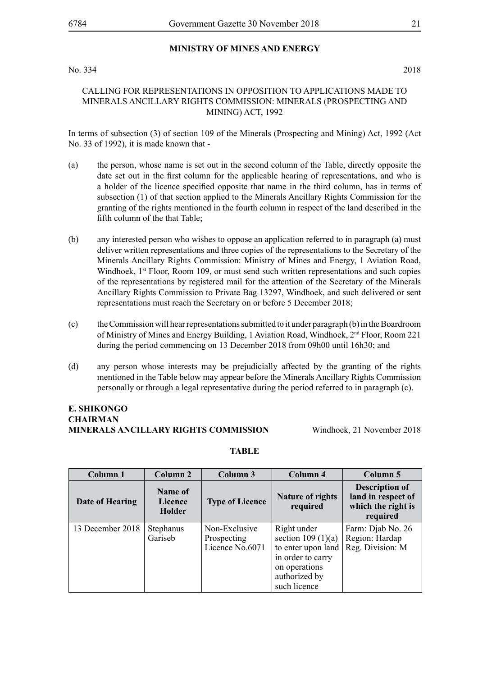#### **MINISTRY OF MINES AND ENERGY**

#### No. 334 2018

#### CALLING FOR REPRESENTATIONS IN OPPOSITION TO APPLICATIONS MADE TO MINERALS ANCILLARY RIGHTS COMMISSION: MINERALS (PROSPECTING AND MINING) ACT, 1992

In terms of subsection (3) of section 109 of the Minerals (Prospecting and Mining) Act, 1992 (Act No. 33 of 1992), it is made known that -

- (a) the person, whose name is set out in the second column of the Table, directly opposite the date set out in the first column for the applicable hearing of representations, and who is a holder of the licence specified opposite that name in the third column, has in terms of subsection (1) of that section applied to the Minerals Ancillary Rights Commission for the granting of the rights mentioned in the fourth column in respect of the land described in the fifth column of the that Table;
- (b) any interested person who wishes to oppose an application referred to in paragraph (a) must deliver written representations and three copies of the representations to the Secretary of the Minerals Ancillary Rights Commission: Ministry of Mines and Energy, 1 Aviation Road, Windhoek, 1<sup>st</sup> Floor, Room 109, or must send such written representations and such copies of the representations by registered mail for the attention of the Secretary of the Minerals Ancillary Rights Commission to Private Bag 13297, Windhoek, and such delivered or sent representations must reach the Secretary on or before 5 December 2018;
- (c) the Commission will hear representations submitted to it under paragraph (b) in the Boardroom of Ministry of Mines and Energy Building, 1 Aviation Road, Windhoek, 2<sup>nd</sup> Floor, Room 221 during the period commencing on 13 December 2018 from 09h00 until 16h30; and
- (d) any person whose interests may be prejudicially affected by the granting of the rights mentioned in the Table below may appear before the Minerals Ancillary Rights Commission personally or through a legal representative during the period referred to in paragraph (c).

#### **E. SHIKONGO CHAIRMAN MINERALS ANCILLARY RIGHTS COMMISSION** Windhoek, 21 November 2018

#### **TABLE**

| Column 1         | Column 2                     | Column 3                                        | Column 4                                                                                                                        | Column 5                                                                      |
|------------------|------------------------------|-------------------------------------------------|---------------------------------------------------------------------------------------------------------------------------------|-------------------------------------------------------------------------------|
| Date of Hearing  | Name of<br>Licence<br>Holder | <b>Type of Licence</b>                          | <b>Nature of rights</b><br>required                                                                                             | <b>Description of</b><br>land in respect of<br>which the right is<br>required |
| 13 December 2018 | Stephanus<br>Gariseb         | Non-Exclusive<br>Prospecting<br>Licence No.6071 | Right under<br>section $109(1)(a)$<br>to enter upon land<br>in order to carry<br>on operations<br>authorized by<br>such licence | Farm: Djab No. 26<br>Region: Hardap<br>Reg. Division: M                       |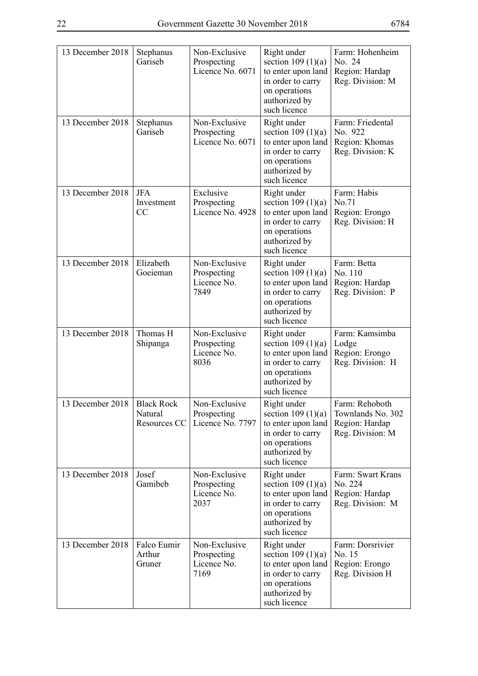| 13 December 2018 | Stephanus<br>Gariseb                         | Non-Exclusive<br>Prospecting<br>Licence No. 6071    | Right under<br>section $109(1)(a)$<br>to enter upon land<br>in order to carry<br>on operations<br>authorized by<br>such licence | Farm: Hohenheim<br>No. 24<br>Region: Hardap<br>Reg. Division: M           |
|------------------|----------------------------------------------|-----------------------------------------------------|---------------------------------------------------------------------------------------------------------------------------------|---------------------------------------------------------------------------|
| 13 December 2018 | Stephanus<br>Gariseb                         | Non-Exclusive<br>Prospecting<br>Licence No. 6071    | Right under<br>section $109(1)(a)$<br>to enter upon land<br>in order to carry<br>on operations<br>authorized by<br>such licence | Farm: Friedental<br>No. 922<br>Region: Khomas<br>Reg. Division: K         |
| 13 December 2018 | <b>JFA</b><br>Investment<br>CC               | Exclusive<br>Prospecting<br>Licence No. 4928        | Right under<br>section $109(1)(a)$<br>to enter upon land<br>in order to carry<br>on operations<br>authorized by<br>such licence | Farm: Habis<br>No.71<br>Region: Erongo<br>Reg. Division: H                |
| 13 December 2018 | Elizabeth<br>Goeieman                        | Non-Exclusive<br>Prospecting<br>Licence No.<br>7849 | Right under<br>section $109(1)(a)$<br>to enter upon land<br>in order to carry<br>on operations<br>authorized by<br>such licence | Farm: Betta<br>No. 110<br>Region: Hardap<br>Reg. Division: P              |
| 13 December 2018 | Thomas H<br>Shipanga                         | Non-Exclusive<br>Prospecting<br>Licence No.<br>8036 | Right under<br>section $109(1)(a)$<br>to enter upon land<br>in order to carry<br>on operations<br>authorized by<br>such licence | Farm: Kamsimba<br>Lodge<br>Region: Erongo<br>Reg. Division: H             |
| 13 December 2018 | <b>Black Rock</b><br>Natural<br>Resources CC | Non-Exclusive<br>Prospecting<br>Licence No. 7797    | Right under<br>section $109(1)(a)$<br>to enter upon land<br>in order to carry<br>on operations<br>authorized by<br>such licence | Farm: Rehoboth<br>Townlands No. 302<br>Region: Hardap<br>Reg. Division: M |
| 13 December 2018 | Josef<br>Gamibeb                             | Non-Exclusive<br>Prospecting<br>Licence No.<br>2037 | Right under<br>section $109(1)(a)$<br>to enter upon land<br>in order to carry<br>on operations<br>authorized by<br>such licence | Farm: Swart Krans<br>No. 224<br>Region: Hardap<br>Reg. Division: M        |
| 13 December 2018 | Falco Eumir<br>Arthur<br>Gruner              | Non-Exclusive<br>Prospecting<br>Licence No.<br>7169 | Right under<br>section $109(1)(a)$<br>to enter upon land<br>in order to carry<br>on operations<br>authorized by<br>such licence | Farm: Dorsrivier<br>No. 15<br>Region: Erongo<br>Reg. Division H           |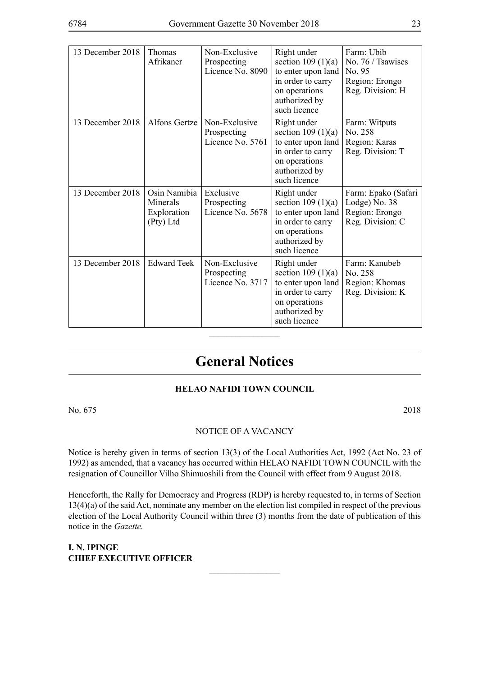| 13 December 2018 | <b>Thomas</b><br>Afrikaner                           | Non-Exclusive<br>Prospecting<br>Licence No. 8090 | Right under<br>section $109(1)(a)$<br>to enter upon land<br>in order to carry<br>on operations<br>authorized by<br>such licence  | Farm: Ubib<br>No. 76 / Tsawises<br>No. 95<br>Region: Erongo<br>Reg. Division: H |
|------------------|------------------------------------------------------|--------------------------------------------------|----------------------------------------------------------------------------------------------------------------------------------|---------------------------------------------------------------------------------|
| 13 December 2018 | <b>Alfons Gertze</b>                                 | Non-Exclusive<br>Prospecting<br>Licence No. 5761 | Right under<br>section $109(1)(a)$<br>to enter upon land<br>in order to carry<br>on operations<br>authorized by<br>such licence  | Farm: Witputs<br>No. 258<br>Region: Karas<br>Reg. Division: T                   |
| 13 December 2018 | Osin Namibia<br>Minerals<br>Exploration<br>(Pty) Ltd | Exclusive<br>Prospecting<br>Licence No. 5678     | Right under<br>section 109 $(1)(a)$<br>to enter upon land<br>in order to carry<br>on operations<br>authorized by<br>such licence | Farm: Epako (Safari<br>Lodge) No. 38<br>Region: Erongo<br>Reg. Division: C      |
| 13 December 2018 | <b>Edward Teek</b>                                   | Non-Exclusive<br>Prospecting<br>Licence No. 3717 | Right under<br>section $109(1)(a)$<br>to enter upon land<br>in order to carry<br>on operations<br>authorized by<br>such licence  | Farm: Kanubeb<br>No. 258<br>Region: Khomas<br>Reg. Division: K                  |

## **General Notices**

 $\overline{\phantom{a}}$  , where  $\overline{\phantom{a}}$ 

### **HELAO NAFIDI TOWN COUNCIL**

No. 675 2018

#### NOTICE OF A VACANCY

Notice is hereby given in terms of section 13(3) of the Local Authorities Act, 1992 (Act No. 23 of 1992) as amended, that a vacancy has occurred within HELAO NAFIDI TOWN COUNCIL with the resignation of Councillor Vilho Shimuoshili from the Council with effect from 9 August 2018.

Henceforth, the Rally for Democracy and Progress (RDP) is hereby requested to, in terms of Section 13(4)(a) of the said Act, nominate any member on the election list compiled in respect of the previous election of the Local Authority Council within three (3) months from the date of publication of this notice in the *Gazette.*

 $\frac{1}{2}$ 

**I. N. IPINGE CHIEF EXECUTIVE OFFICER**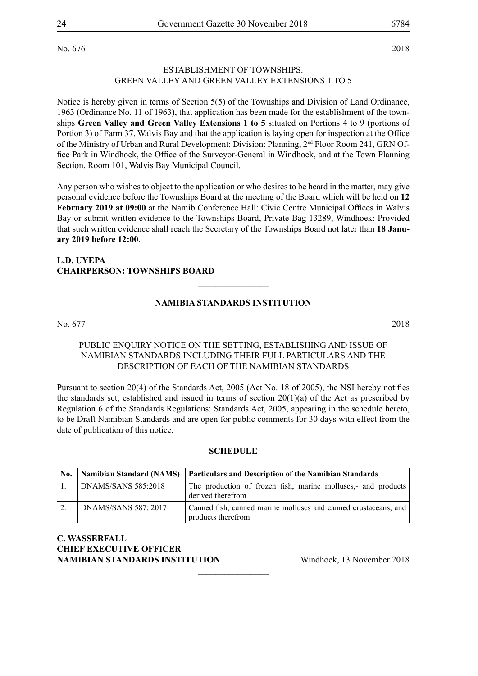No. 676 2018

#### ESTABLISHMENT OF TOWNSHIPS: GREEN VALLEY AND GREEN VALLEY EXTENSIONS 1 TO 5

Notice is hereby given in terms of Section 5(5) of the Townships and Division of Land Ordinance, 1963 (Ordinance No. 11 of 1963), that application has been made for the establishment of the townships **Green Valley and Green Valley Extensions 1 to 5** situated on Portions 4 to 9 (portions of Portion 3) of Farm 37, Walvis Bay and that the application is laying open for inspection at the Office of the Ministry of Urban and Rural Development: Division: Planning, 2nd Floor Room 241, GRN Office Park in Windhoek, the Office of the Surveyor-General in Windhoek, and at the Town Planning Section, Room 101, Walvis Bay Municipal Council.

Any person who wishes to object to the application or who desires to be heard in the matter, may give personal evidence before the Townships Board at the meeting of the Board which will be held on **12 February 2019 at 09:00** at the Namib Conference Hall: Civic Centre Municipal Offices in Walvis Bay or submit written evidence to the Townships Board, Private Bag 13289, Windhoek: Provided that such written evidence shall reach the Secretary of the Townships Board not later than **18 January 2019 before 12:00**.

#### **L.D. UYEPA CHAIRPERSON: TOWNSHIPS BOARD**

#### **NAMIBIA STANDARDS INSTITUTION**

 $\frac{1}{2}$ 

No. 677 2018

#### PUBLIC ENQUIRY NOTICE ON THE SETTING, ESTABLISHING AND ISSUE OF NAMIBIAN STANDARDS INCLUDING THEIR FULL PARTICULARS AND THE DESCRIPTION OF EACH OF THE NAMIBIAN STANDARDS

Pursuant to section 20(4) of the Standards Act, 2005 (Act No. 18 of 2005), the NSI hereby notifies the standards set, established and issued in terms of section  $20(1)(a)$  of the Act as prescribed by Regulation 6 of the Standards Regulations: Standards Act, 2005, appearing in the schedule hereto, to be Draft Namibian Standards and are open for public comments for 30 days with effect from the date of publication of this notice.

#### **SCHEDULE**

| No. |                      | Namibian Standard (NAMS) Particulars and Description of the Namibian Standards        |
|-----|----------------------|---------------------------------------------------------------------------------------|
|     | DNAMS/SANS 585:2018  | The production of frozen fish, marine molluscs,- and products<br>derived therefrom    |
|     | DNAMS/SANS 587: 2017 | Canned fish, canned marine molluscs and canned crustaceans, and<br>products therefrom |

 $\frac{1}{2}$ 

#### **C. WASSERFALL CHIEF EXECUTIVE OFFICER NAMIBIAN STANDARDS INSTITUTION** Windhoek, 13 November 2018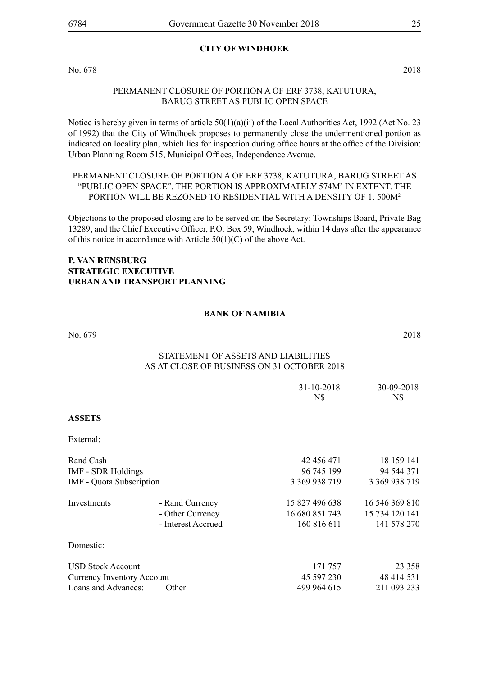#### **CITY OF WINDHOEK**

No. 678 2018

#### PERMANENT CLOSURE OF PORTION A OF ERF 3738, KATUTURA, BARUG STREET AS PUBLIC OPEN SPACE

Notice is hereby given in terms of article 50(1)(a)(ii) of the Local Authorities Act, 1992 (Act No. 23 of 1992) that the City of Windhoek proposes to permanently close the undermentioned portion as indicated on locality plan, which lies for inspection during office hours at the office of the Division: Urban Planning Room 515, Municipal Offices, Independence Avenue.

#### PERMANENT CLOSURE OF PORTION A OF ERF 3738, KATUTURA, BARUG STREET AS "PUBLIC OPEN SPACE". THE PORTION IS APPROXIMATELY 574M<sup>2</sup> IN EXTENT. THE PORTION WILL BE REZONED TO RESIDENTIAL WITH A DENSITY OF 1: 500M<sup>2</sup>

Objections to the proposed closing are to be served on the Secretary: Townships Board, Private Bag 13289, and the Chief Executive Officer, P.O. Box 59, Windhoek, within 14 days after the appearance of this notice in accordance with Article 50(1)(C) of the above Act.

#### **P. VAN RENSBURG STRATEGIC EXECUTIVE URBAN AND TRANSPORT PLANNING**

#### **BANK OF NAMIBIA**

 $\overline{\phantom{a}}$  , where  $\overline{\phantom{a}}$ 

No. 679 2018

#### Statement of Assets and Liabilities As at close of business on 31 October 2018

|                                 |                    | 31-10-2018<br>N\$ | 30-09-2018<br>N\$ |
|---------------------------------|--------------------|-------------------|-------------------|
| <b>ASSETS</b>                   |                    |                   |                   |
| External:                       |                    |                   |                   |
| Rand Cash                       |                    | 42 456 471        | 18 159 141        |
| <b>IMF - SDR Holdings</b>       |                    | 96 745 199        | 94 544 371        |
| <b>IMF</b> - Quota Subscription |                    | 3 369 938 719     | 3 369 938 719     |
| Investments                     | - Rand Currency    | 15 827 496 638    | 16 546 369 810    |
|                                 | - Other Currency   | 16 680 851 743    | 15 734 120 141    |
|                                 | - Interest Accrued | 160 816 611       | 141 578 270       |
| Domestic:                       |                    |                   |                   |
| <b>USD Stock Account</b>        |                    | 171 757           | 23 3 5 8          |
| Currency Inventory Account      |                    | 45 597 230        | 48 414 531        |
| Loans and Advances:             | Other              | 499 964 615       | 211 093 233       |